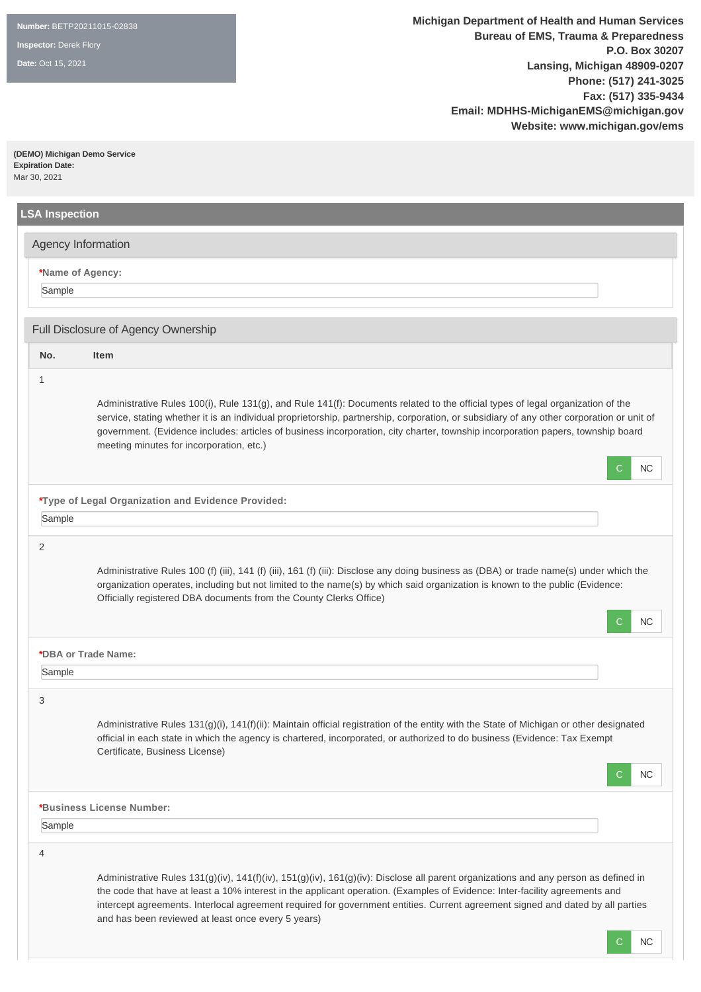**Date:** Oct 15, 2021

**(DEMO) Michigan Demo Service Expiration Date:**  Mar 30, 2021

|        | Agency Information                                                                                                                                                                                                                                                                                                                                                                                                                                         |
|--------|------------------------------------------------------------------------------------------------------------------------------------------------------------------------------------------------------------------------------------------------------------------------------------------------------------------------------------------------------------------------------------------------------------------------------------------------------------|
| Sample | *Name of Agency:                                                                                                                                                                                                                                                                                                                                                                                                                                           |
|        | Full Disclosure of Agency Ownership                                                                                                                                                                                                                                                                                                                                                                                                                        |
| No.    | Item                                                                                                                                                                                                                                                                                                                                                                                                                                                       |
| 1      | Administrative Rules 100(i), Rule 131(g), and Rule 141(f): Documents related to the official types of legal organization of the<br>service, stating whether it is an individual proprietorship, partnership, corporation, or subsidiary of any other corporation or unit of<br>government. (Evidence includes: articles of business incorporation, city charter, township incorporation papers, township board<br>meeting minutes for incorporation, etc.) |
|        | C<br>NC.                                                                                                                                                                                                                                                                                                                                                                                                                                                   |
|        | *Type of Legal Organization and Evidence Provided:                                                                                                                                                                                                                                                                                                                                                                                                         |
| Sample |                                                                                                                                                                                                                                                                                                                                                                                                                                                            |
| 2      | Administrative Rules 100 (f) (iii), 141 (f) (iii), 161 (f) (iii): Disclose any doing business as (DBA) or trade name(s) under which the<br>organization operates, including but not limited to the name(s) by which said organization is known to the public (Evidence:<br>Officially registered DBA documents from the County Clerks Office)<br>NC.<br>C.                                                                                                 |
|        | *DBA or Trade Name:                                                                                                                                                                                                                                                                                                                                                                                                                                        |
| Sample |                                                                                                                                                                                                                                                                                                                                                                                                                                                            |
| 3      | Administrative Rules 131(g)(i), 141(f)(ii): Maintain official registration of the entity with the State of Michigan or other designated<br>official in each state in which the agency is chartered, incorporated, or authorized to do business (Evidence: Tax Exempt<br>Certificate, Business License)<br>NC<br>C                                                                                                                                          |
|        | *Business License Number:                                                                                                                                                                                                                                                                                                                                                                                                                                  |
| Sample |                                                                                                                                                                                                                                                                                                                                                                                                                                                            |
| 4      | Administrative Rules 131(g)(iv), 141(f)(iv), 151(g)(iv), 161(g)(iv): Disclose all parent organizations and any person as defined in<br>the code that have at least a 10% interest in the applicant operation. (Examples of Evidence: Inter-facility agreements and<br>intercept agreements. Interlocal agreement required for government entities. Current agreement signed and dated by all parties<br>and has been reviewed at least once every 5 years) |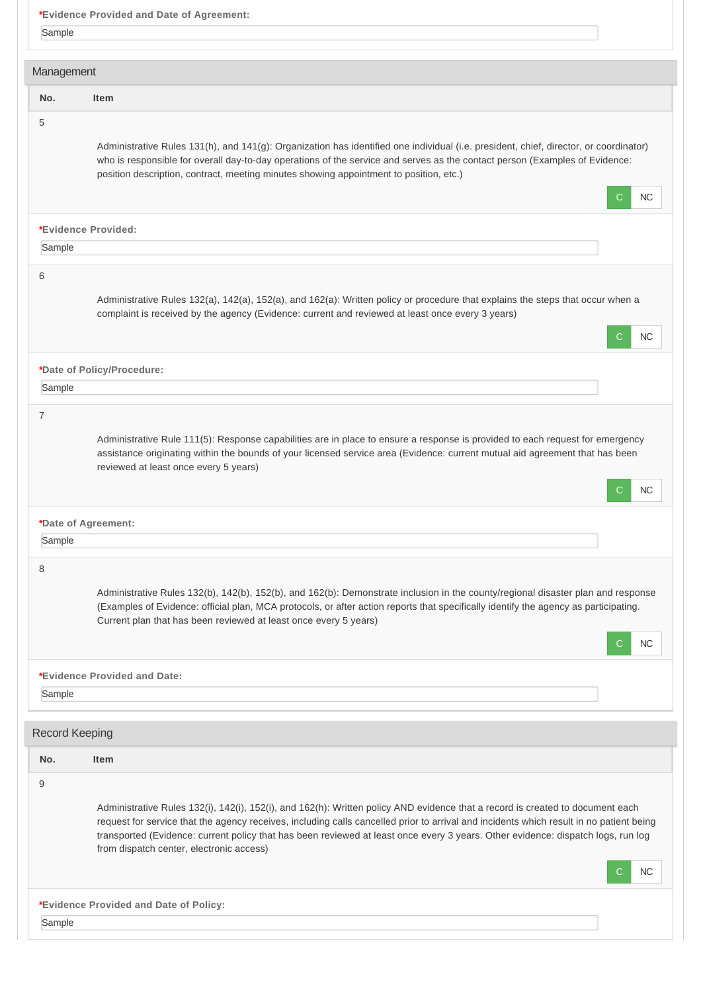|                       | *Evidence Provided and Date of Agreement:                                                                                                                                                                                                                                                                                                                                                                                                                        |
|-----------------------|------------------------------------------------------------------------------------------------------------------------------------------------------------------------------------------------------------------------------------------------------------------------------------------------------------------------------------------------------------------------------------------------------------------------------------------------------------------|
| Sample                |                                                                                                                                                                                                                                                                                                                                                                                                                                                                  |
|                       |                                                                                                                                                                                                                                                                                                                                                                                                                                                                  |
| Management            |                                                                                                                                                                                                                                                                                                                                                                                                                                                                  |
| No.                   | Item                                                                                                                                                                                                                                                                                                                                                                                                                                                             |
| 5                     |                                                                                                                                                                                                                                                                                                                                                                                                                                                                  |
|                       | Administrative Rules 131(h), and 141(g): Organization has identified one individual (i.e. president, chief, director, or coordinator)<br>who is responsible for overall day-to-day operations of the service and serves as the contact person (Examples of Evidence:<br>position description, contract, meeting minutes showing appointment to position, etc.)<br><b>NC</b><br>C.                                                                                |
|                       | *Evidence Provided:                                                                                                                                                                                                                                                                                                                                                                                                                                              |
| Sample                |                                                                                                                                                                                                                                                                                                                                                                                                                                                                  |
|                       |                                                                                                                                                                                                                                                                                                                                                                                                                                                                  |
| 6                     | Administrative Rules 132(a), 142(a), 152(a), and 162(a): Written policy or procedure that explains the steps that occur when a<br>complaint is received by the agency (Evidence: current and reviewed at least once every 3 years)<br><b>NC</b><br>С                                                                                                                                                                                                             |
|                       | *Date of Policy/Procedure:                                                                                                                                                                                                                                                                                                                                                                                                                                       |
| Sample                |                                                                                                                                                                                                                                                                                                                                                                                                                                                                  |
|                       |                                                                                                                                                                                                                                                                                                                                                                                                                                                                  |
|                       | Administrative Rule 111(5): Response capabilities are in place to ensure a response is provided to each request for emergency<br>assistance originating within the bounds of your licensed service area (Evidence: current mutual aid agreement that has been<br>reviewed at least once every 5 years)<br>NC<br>C.                                                                                                                                               |
|                       | *Date of Agreement:                                                                                                                                                                                                                                                                                                                                                                                                                                              |
| Sample                |                                                                                                                                                                                                                                                                                                                                                                                                                                                                  |
|                       |                                                                                                                                                                                                                                                                                                                                                                                                                                                                  |
| 8                     | Administrative Rules 132(b), 142(b), 152(b), and 162(b): Demonstrate inclusion in the county/regional disaster plan and response<br>(Examples of Evidence: official plan, MCA protocols, or after action reports that specifically identify the agency as participating.<br>Current plan that has been reviewed at least once every 5 years)<br>NC                                                                                                               |
|                       | *Evidence Provided and Date:                                                                                                                                                                                                                                                                                                                                                                                                                                     |
| Sample                |                                                                                                                                                                                                                                                                                                                                                                                                                                                                  |
|                       |                                                                                                                                                                                                                                                                                                                                                                                                                                                                  |
| <b>Record Keeping</b> |                                                                                                                                                                                                                                                                                                                                                                                                                                                                  |
| No.                   | <b>Item</b>                                                                                                                                                                                                                                                                                                                                                                                                                                                      |
| 9                     |                                                                                                                                                                                                                                                                                                                                                                                                                                                                  |
|                       | Administrative Rules 132(i), 142(i), 152(i), and 162(h): Written policy AND evidence that a record is created to document each<br>request for service that the agency receives, including calls cancelled prior to arrival and incidents which result in no patient being<br>transported (Evidence: current policy that has been reviewed at least once every 3 years. Other evidence: dispatch logs, run log<br>from dispatch center, electronic access)<br>NC. |
|                       | *Evidence Provided and Date of Policy:                                                                                                                                                                                                                                                                                                                                                                                                                           |
|                       |                                                                                                                                                                                                                                                                                                                                                                                                                                                                  |
| Sample                |                                                                                                                                                                                                                                                                                                                                                                                                                                                                  |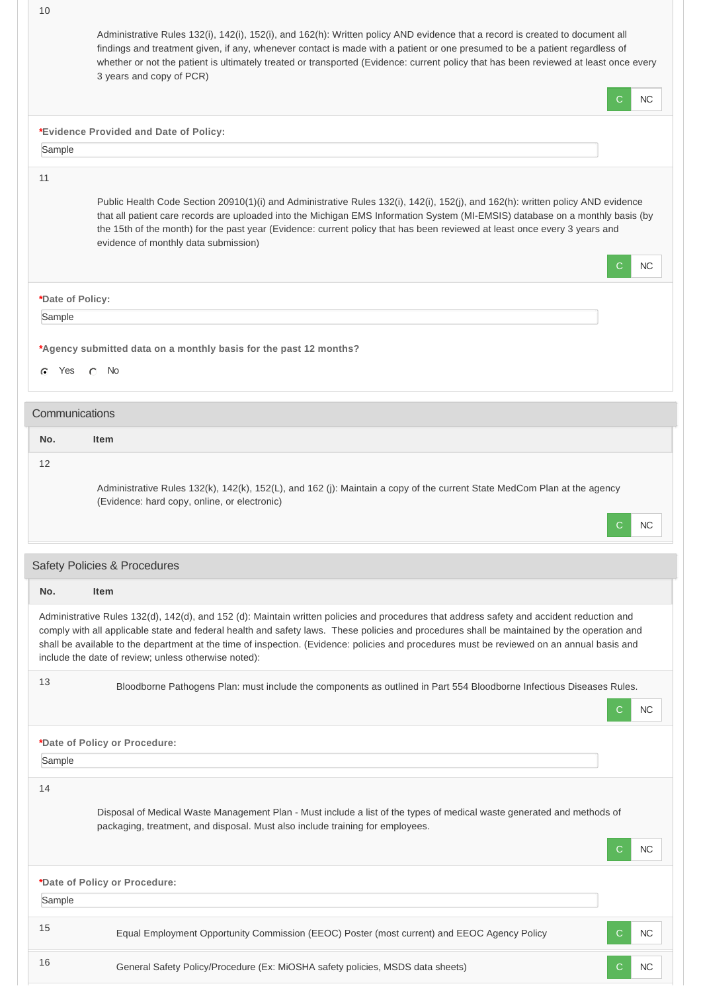|                   | Administrative Rules 132(i), 142(i), 152(i), and 162(h): Written policy AND evidence that a record is created to document all<br>findings and treatment given, if any, whenever contact is made with a patient or one presumed to be a patient regardless of<br>whether or not the patient is ultimately treated or transported (Evidence: current policy that has been reviewed at least once every<br>3 years and copy of PCR)<br>C.                                                         | NC.       |
|-------------------|------------------------------------------------------------------------------------------------------------------------------------------------------------------------------------------------------------------------------------------------------------------------------------------------------------------------------------------------------------------------------------------------------------------------------------------------------------------------------------------------|-----------|
|                   |                                                                                                                                                                                                                                                                                                                                                                                                                                                                                                |           |
|                   | *Evidence Provided and Date of Policy:                                                                                                                                                                                                                                                                                                                                                                                                                                                         |           |
| Sample            |                                                                                                                                                                                                                                                                                                                                                                                                                                                                                                |           |
| 11                | Public Health Code Section 20910(1)(i) and Administrative Rules 132(i), 142(i), 152(j), and 162(h): written policy AND evidence<br>that all patient care records are uploaded into the Michigan EMS Information System (MI-EMSIS) database on a monthly basis (by<br>the 15th of the month) for the past year (Evidence: current policy that has been reviewed at least once every 3 years and<br>evidence of monthly data submission)<br>С                                                    | NC.       |
| *Date of Policy:  |                                                                                                                                                                                                                                                                                                                                                                                                                                                                                                |           |
| Sample            |                                                                                                                                                                                                                                                                                                                                                                                                                                                                                                |           |
| Yes<br>c          | *Agency submitted data on a monthly basis for the past 12 months?<br>- No<br>$\sqrt{2}$                                                                                                                                                                                                                                                                                                                                                                                                        |           |
| Communications    |                                                                                                                                                                                                                                                                                                                                                                                                                                                                                                |           |
| No.               | <b>Item</b>                                                                                                                                                                                                                                                                                                                                                                                                                                                                                    |           |
| $12 \overline{ }$ | Administrative Rules 132(k), 142(k), 152(L), and 162 (j): Maintain a copy of the current State MedCom Plan at the agency<br>(Evidence: hard copy, online, or electronic)                                                                                                                                                                                                                                                                                                                       |           |
|                   | C.                                                                                                                                                                                                                                                                                                                                                                                                                                                                                             | <b>NC</b> |
|                   | Safety Policies & Procedures                                                                                                                                                                                                                                                                                                                                                                                                                                                                   |           |
| No.               | <b>Item</b>                                                                                                                                                                                                                                                                                                                                                                                                                                                                                    |           |
|                   | Administrative Rules 132(d), 142(d), and 152 (d): Maintain written policies and procedures that address safety and accident reduction and<br>comply with all applicable state and federal health and safety laws. These policies and procedures shall be maintained by the operation and<br>shall be available to the department at the time of inspection. (Evidence: policies and procedures must be reviewed on an annual basis and<br>include the date of review; unless otherwise noted): |           |
| 13                | Bloodborne Pathogens Plan: must include the components as outlined in Part 554 Bloodborne Infectious Diseases Rules.<br>С                                                                                                                                                                                                                                                                                                                                                                      | <b>NC</b> |
|                   | *Date of Policy or Procedure:                                                                                                                                                                                                                                                                                                                                                                                                                                                                  |           |
| Sample            |                                                                                                                                                                                                                                                                                                                                                                                                                                                                                                |           |
|                   |                                                                                                                                                                                                                                                                                                                                                                                                                                                                                                |           |
| 14                | Disposal of Medical Waste Management Plan - Must include a list of the types of medical waste generated and methods of<br>packaging, treatment, and disposal. Must also include training for employees.<br>С                                                                                                                                                                                                                                                                                   | NC.       |
|                   |                                                                                                                                                                                                                                                                                                                                                                                                                                                                                                |           |
| Sample            | *Date of Policy or Procedure:                                                                                                                                                                                                                                                                                                                                                                                                                                                                  |           |
| 15                |                                                                                                                                                                                                                                                                                                                                                                                                                                                                                                | <b>NC</b> |
| 16                | Equal Employment Opportunity Commission (EEOC) Poster (most current) and EEOC Agency Policy<br>General Safety Policy/Procedure (Ex: MiOSHA safety policies, MSDS data sheets)<br>С                                                                                                                                                                                                                                                                                                             | <b>NC</b> |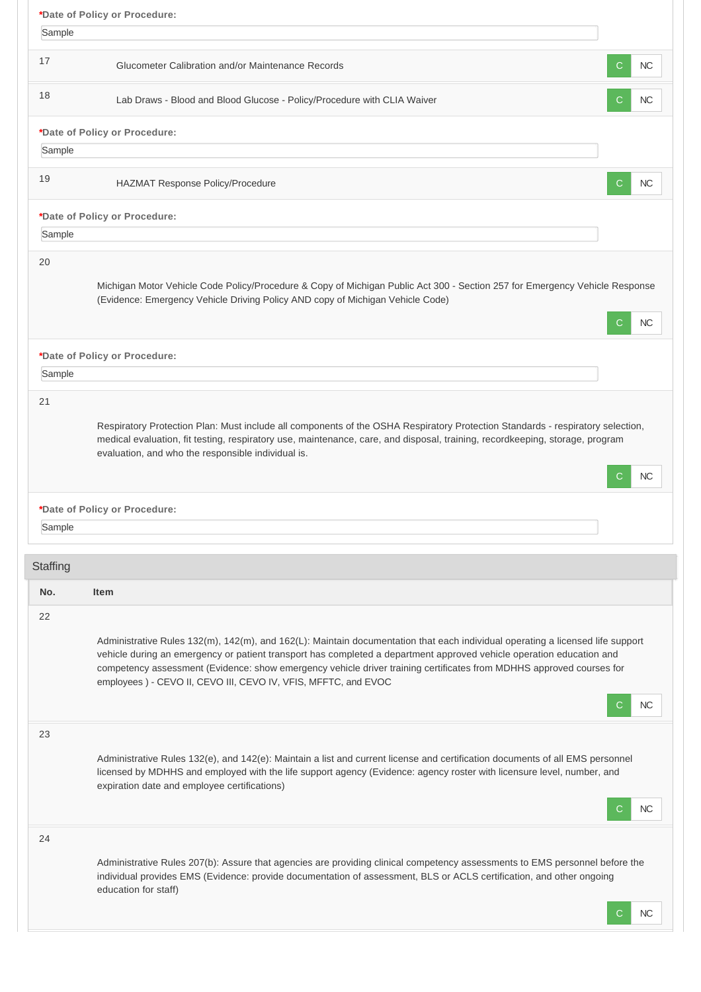|          | *Date of Policy or Procedure:                                                                                                                                                                                                                                                                                                                                                                                                                                       |
|----------|---------------------------------------------------------------------------------------------------------------------------------------------------------------------------------------------------------------------------------------------------------------------------------------------------------------------------------------------------------------------------------------------------------------------------------------------------------------------|
| Sample   |                                                                                                                                                                                                                                                                                                                                                                                                                                                                     |
| 17       | <b>Glucometer Calibration and/or Maintenance Records</b><br><b>NC</b><br>С                                                                                                                                                                                                                                                                                                                                                                                          |
| 18       | Lab Draws - Blood and Blood Glucose - Policy/Procedure with CLIA Waiver<br><b>NC</b><br>С                                                                                                                                                                                                                                                                                                                                                                           |
|          | *Date of Policy or Procedure:                                                                                                                                                                                                                                                                                                                                                                                                                                       |
| Sample   |                                                                                                                                                                                                                                                                                                                                                                                                                                                                     |
| 19       | HAZMAT Response Policy/Procedure<br><b>NC</b><br>С                                                                                                                                                                                                                                                                                                                                                                                                                  |
|          | *Date of Policy or Procedure:                                                                                                                                                                                                                                                                                                                                                                                                                                       |
| Sample   |                                                                                                                                                                                                                                                                                                                                                                                                                                                                     |
| 20       |                                                                                                                                                                                                                                                                                                                                                                                                                                                                     |
|          | Michigan Motor Vehicle Code Policy/Procedure & Copy of Michigan Public Act 300 - Section 257 for Emergency Vehicle Response<br>(Evidence: Emergency Vehicle Driving Policy AND copy of Michigan Vehicle Code)<br><b>NC</b>                                                                                                                                                                                                                                          |
|          | *Date of Policy or Procedure:                                                                                                                                                                                                                                                                                                                                                                                                                                       |
| Sample   |                                                                                                                                                                                                                                                                                                                                                                                                                                                                     |
| 21       | Respiratory Protection Plan: Must include all components of the OSHA Respiratory Protection Standards - respiratory selection,<br>medical evaluation, fit testing, respiratory use, maintenance, care, and disposal, training, recordkeeping, storage, program<br>evaluation, and who the responsible individual is.<br><b>NC</b>                                                                                                                                   |
|          | *Date of Policy or Procedure:                                                                                                                                                                                                                                                                                                                                                                                                                                       |
| Sample   |                                                                                                                                                                                                                                                                                                                                                                                                                                                                     |
| Staffing |                                                                                                                                                                                                                                                                                                                                                                                                                                                                     |
| No.      | <b>Item</b>                                                                                                                                                                                                                                                                                                                                                                                                                                                         |
| 22       | Administrative Rules 132(m), 142(m), and 162(L): Maintain documentation that each individual operating a licensed life support<br>vehicle during an emergency or patient transport has completed a department approved vehicle operation education and<br>competency assessment (Evidence: show emergency vehicle driver training certificates from MDHHS approved courses for<br>employees ) - CEVO II, CEVO III, CEVO IV, VFIS, MFFTC, and EVOC<br><b>NC</b><br>C |
| 23       | Administrative Rules 132(e), and 142(e): Maintain a list and current license and certification documents of all EMS personnel<br>licensed by MDHHS and employed with the life support agency (Evidence: agency roster with licensure level, number, and<br>expiration date and employee certifications)<br><b>NC</b>                                                                                                                                                |
| 24       | Administrative Rules 207(b): Assure that agencies are providing clinical competency assessments to EMS personnel before the<br>individual provides EMS (Evidence: provide documentation of assessment, BLS or ACLS certification, and other ongoing<br>education for staff)<br>NC                                                                                                                                                                                   |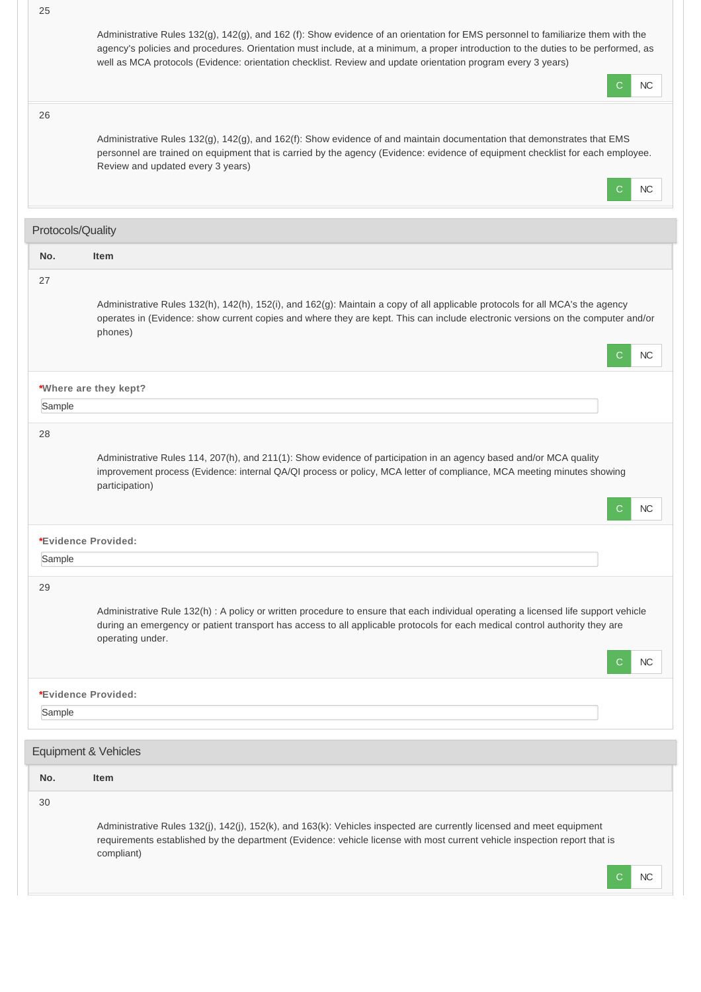| 25                | Administrative Rules 132(g), 142(g), and 162 (f): Show evidence of an orientation for EMS personnel to familiarize them with the<br>agency's policies and procedures. Orientation must include, at a minimum, a proper introduction to the duties to be performed, as<br>well as MCA protocols (Evidence: orientation checklist. Review and update orientation program every 3 years)<br>NC<br>С |
|-------------------|--------------------------------------------------------------------------------------------------------------------------------------------------------------------------------------------------------------------------------------------------------------------------------------------------------------------------------------------------------------------------------------------------|
| 26                | Administrative Rules 132(g), 142(g), and 162(f): Show evidence of and maintain documentation that demonstrates that EMS<br>personnel are trained on equipment that is carried by the agency (Evidence: evidence of equipment checklist for each employee.<br>Review and updated every 3 years)<br><b>NC</b><br>C                                                                                 |
| Protocols/Quality |                                                                                                                                                                                                                                                                                                                                                                                                  |
| No.               | <b>Item</b>                                                                                                                                                                                                                                                                                                                                                                                      |
| 27                | Administrative Rules 132(h), 142(h), 152(i), and 162(g): Maintain a copy of all applicable protocols for all MCA's the agency<br>operates in (Evidence: show current copies and where they are kept. This can include electronic versions on the computer and/or<br>phones)<br>C<br>NC                                                                                                           |
|                   | *Where are they kept?                                                                                                                                                                                                                                                                                                                                                                            |
| Sample            |                                                                                                                                                                                                                                                                                                                                                                                                  |
| 28                | Administrative Rules 114, 207(h), and 211(1): Show evidence of participation in an agency based and/or MCA quality<br>improvement process (Evidence: internal QA/QI process or policy, MCA letter of compliance, MCA meeting minutes showing<br>participation)<br>NС                                                                                                                             |
|                   | *Evidence Provided:                                                                                                                                                                                                                                                                                                                                                                              |
| Sample            |                                                                                                                                                                                                                                                                                                                                                                                                  |
| 29                | Administrative Rule 132(h) : A policy or written procedure to ensure that each individual operating a licensed life support vehicle<br>during an emergency or patient transport has access to all applicable protocols for each medical control authority they are<br>operating under.<br>NC<br>C                                                                                                |
|                   | *Evidence Provided:                                                                                                                                                                                                                                                                                                                                                                              |
| Sample            |                                                                                                                                                                                                                                                                                                                                                                                                  |
|                   | Equipment & Vehicles                                                                                                                                                                                                                                                                                                                                                                             |
| No.               | Item                                                                                                                                                                                                                                                                                                                                                                                             |
| 30                | Administrative Rules 132(j), 142(j), 152(k), and 163(k): Vehicles inspected are currently licensed and meet equipment<br>requirements established by the department (Evidence: vehicle license with most current vehicle inspection report that is<br>compliant)<br>NС                                                                                                                           |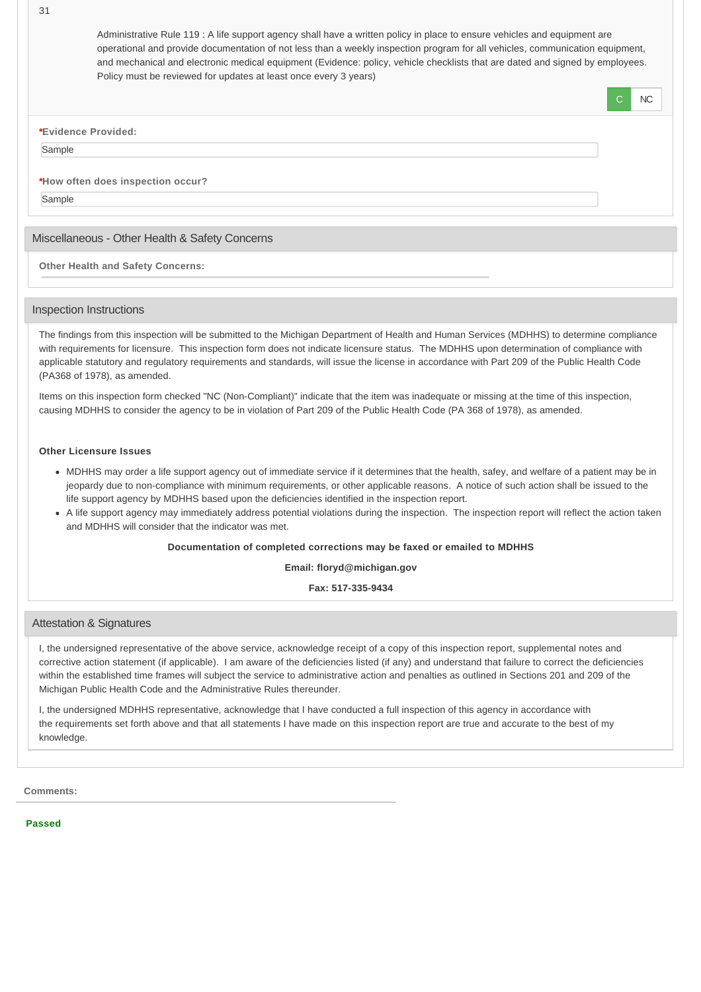Administrative Rule 119 : A life support agency shall have a written policy in place to ensure vehicles and equipment are operational and provide documentation of not less than a weekly inspection program for all vehicles, communication equipment, and mechanical and electronic medical equipment (Evidence: policy, vehicle checklists that are dated and signed by employees. Policy must be reviewed for updates at least once every 3 years)

C NC

**\*Evidence Provided:**

## Sample

## **\*How often does inspection occur?**

Sample

## Miscellaneous - Other Health & Safety Concerns

**Other Health and Safety Concerns:**

## Inspection Instructions

The findings from this inspection will be submitted to the Michigan Department of Health and Human Services (MDHHS) to determine compliance with requirements for licensure. This inspection form does not indicate licensure status. The MDHHS upon determination of compliance with applicable statutory and regulatory requirements and standards, will issue the license in accordance with Part 209 of the Public Health Code (PA368 of 1978), as amended.

Items on this inspection form checked "NC (Non-Compliant)" indicate that the item was inadequate or missing at the time of this inspection, causing MDHHS to consider the agency to be in violation of Part 209 of the Public Health Code (PA 368 of 1978), as amended.

#### **Other Licensure Issues**

- MDHHS may order a life support agency out of immediate service if it determines that the health, safey, and welfare of a patient may be in jeopardy due to non-compliance with minimum requirements, or other applicable reasons. A notice of such action shall be issued to the life support agency by MDHHS based upon the deficiencies identified in the inspection report.
- A life support agency may immediately address potential violations during the inspection. The inspection report will reflect the action taken and MDHHS will consider that the indicator was met.

## **Documentation of completed corrections may be faxed or emailed to MDHHS**

#### **Email: floryd@michigan.gov**

### **Fax: 517-335-9434**

## Attestation & Signatures

I, the undersigned representative of the above service, acknowledge receipt of a copy of this inspection report, supplemental notes and corrective action statement (if applicable). I am aware of the deficiencies listed (if any) and understand that failure to correct the deficiencies within the established time frames will subject the service to administrative action and penalties as outlined in Sections 201 and 209 of the Michigan Public Health Code and the Administrative Rules thereunder.

I, the undersigned MDHHS representative, acknowledge that I have conducted a full inspection of this agency in accordance with the requirements set forth above and that all statements I have made on this inspection report are true and accurate to the best of my knowledge.

**Comments:**

**Passed**

31